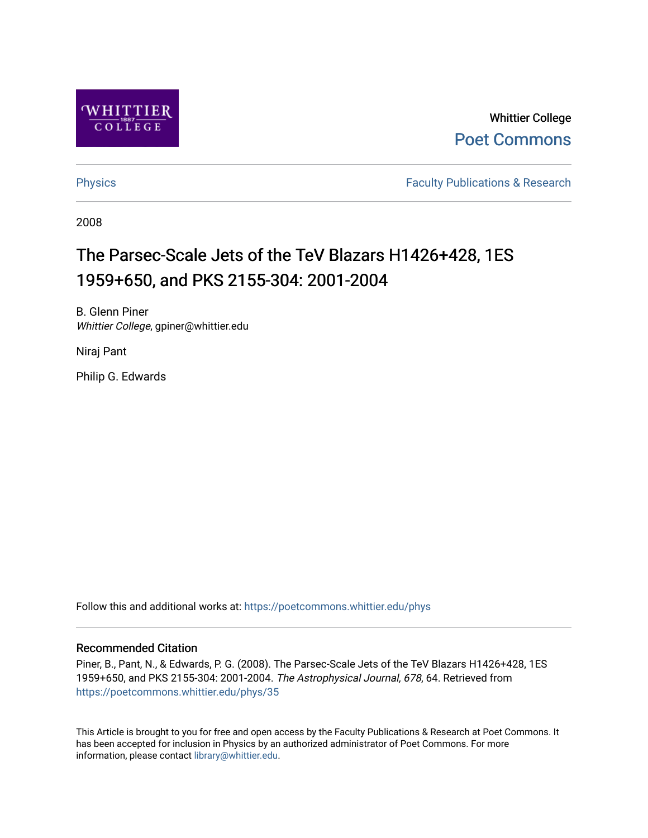

Whittier College [Poet Commons](https://poetcommons.whittier.edu/) 

[Physics](https://poetcommons.whittier.edu/phys) **Faculty Publications & Research Physics Faculty Publications & Research** 

2008

# The Parsec-Scale Jets of the TeV Blazars H1426+428, 1ES 1959+650, and PKS 2155-304: 2001-2004

B. Glenn Piner Whittier College, gpiner@whittier.edu

Niraj Pant

Philip G. Edwards

Follow this and additional works at: [https://poetcommons.whittier.edu/phys](https://poetcommons.whittier.edu/phys?utm_source=poetcommons.whittier.edu%2Fphys%2F35&utm_medium=PDF&utm_campaign=PDFCoverPages)

# Recommended Citation

Piner, B., Pant, N., & Edwards, P. G. (2008). The Parsec-Scale Jets of the TeV Blazars H1426+428, 1ES 1959+650, and PKS 2155-304: 2001-2004. The Astrophysical Journal, 678, 64. Retrieved from [https://poetcommons.whittier.edu/phys/35](https://poetcommons.whittier.edu/phys/35?utm_source=poetcommons.whittier.edu%2Fphys%2F35&utm_medium=PDF&utm_campaign=PDFCoverPages) 

This Article is brought to you for free and open access by the Faculty Publications & Research at Poet Commons. It has been accepted for inclusion in Physics by an authorized administrator of Poet Commons. For more information, please contact [library@whittier.edu.](mailto:library@whittier.edu)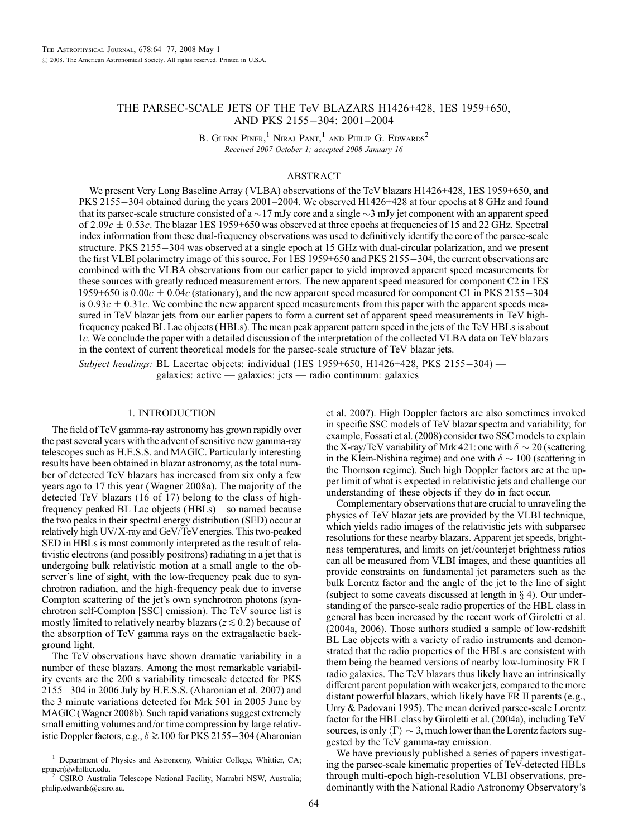# THE PARSEC-SCALE JETS OF THE TeV BLAZARS H1426+428, 1ES 1959+650, AND PKS 2155-304: 2001-2004

B. GLENN PINER,<sup>1</sup> NIRAJ PANT,<sup>1</sup> AND PHILIP G. EDWARDS<sup>2</sup> Received 2007 October 1; accepted 2008 January 16

# ABSTRACT

We present Very Long Baseline Array (VLBA) observations of the TeV blazars H1426+428, 1ES 1959+650, and PKS 2155-304 obtained during the years 2001–2004. We observed H1426+428 at four epochs at 8 GHz and found that its parsec-scale structure consisted of a  $\sim$  17 mJy core and a single  $\sim$  3 mJy jet component with an apparent speed of 2.09c  $\pm$  0.53c. The blazar 1ES 1959+650 was observed at three epochs at frequencies of 15 and 22 GHz. Spectral index information from these dual-frequency observations was used to definitively identify the core of the parsec-scale structure. PKS 2155-304 was observed at a single epoch at 15 GHz with dual-circular polarization, and we present the first VLBI polarimetry image of this source. For  $1ES\ 1959+650$  and PKS  $2155-304$ , the current observations are combined with the VLBA observations from our earlier paper to yield improved apparent speed measurements for these sources with greatly reduced measurement errors. The new apparent speed measured for component C2 in 1ES 1959+650 is  $0.00c \pm 0.04c$  (stationary), and the new apparent speed measured for component C1 in PKS 2155-304 is 0.93 $c \pm 0.31c$ . We combine the new apparent speed measurements from this paper with the apparent speeds measured in TeV blazar jets from our earlier papers to form a current set of apparent speed measurements in TeV highfrequency peaked BL Lac objects (HBLs). The mean peak apparent pattern speed in the jets of the TeV HBLs is about 1c. We conclude the paper with a detailed discussion of the interpretation of the collected VLBA data on TeV blazars in the context of current theoretical models for the parsec-scale structure of TeV blazar jets.

Subject headings: BL Lacertae objects: individual (1ES 1959+650, H1426+428, PKS 2155-304) galaxies: active — galaxies: jets — radio continuum: galaxies

#### 1. INTRODUCTION

The field of TeV gamma-ray astronomy has grown rapidly over the past several years with the advent of sensitive new gamma-ray telescopes such as H.E.S.S. and MAGIC. Particularly interesting results have been obtained in blazar astronomy, as the total number of detected TeV blazars has increased from six only a few years ago to 17 this year (Wagner 2008a). The majority of the detected TeV blazars (16 of 17) belong to the class of highfrequency peaked BL Lac objects (HBLs)—so named because the two peaks in their spectral energy distribution (SED) occur at relatively high UV/X-ray and GeV/TeV energies. This two-peaked SED in HBLs is most commonly interpreted as the result of relativistic electrons (and possibly positrons) radiating in a jet that is undergoing bulk relativistic motion at a small angle to the observer's line of sight, with the low-frequency peak due to synchrotron radiation, and the high-frequency peak due to inverse Compton scattering of the jet's own synchrotron photons (synchrotron self-Compton [SSC] emission). The TeV source list is mostly limited to relatively nearby blazars ( $z \leq 0.2$ ) because of the absorption of TeV gamma rays on the extragalactic background light.

The TeV observations have shown dramatic variability in a number of these blazars. Among the most remarkable variability events are the 200 s variability timescale detected for PKS 2155-304 in 2006 July by H.E.S.S. (Aharonian et al. 2007) and the 3 minute variations detected for Mrk 501 in 2005 June by MAGIC (Wagner 2008b). Such rapid variations suggest extremely small emitting volumes and/or time compression by large relativistic Doppler factors, e.g.,  $\delta \gtrsim 100$  for PKS 2155-304 (Aharonian

et al. 2007). High Doppler factors are also sometimes invoked in specific SSC models of TeV blazar spectra and variability; for example, Fossati et al. (2008) consider two SSC models to explain the X-ray/TeV variability of Mrk 421: one with  $\delta \sim 20$  (scattering in the Klein-Nishina regime) and one with  $\delta \sim 100$  (scattering in the Thomson regime). Such high Doppler factors are at the upper limit of what is expected in relativistic jets and challenge our understanding of these objects if they do in fact occur.

Complementary observations that are crucial to unraveling the physics of TeV blazar jets are provided by the VLBI technique, which yields radio images of the relativistic jets with subparsec resolutions for these nearby blazars. Apparent jet speeds, brightness temperatures, and limits on jet/counterjet brightness ratios can all be measured from VLBI images, and these quantities all provide constraints on fundamental jet parameters such as the bulk Lorentz factor and the angle of the jet to the line of sight (subject to some caveats discussed at length in  $\S$  4). Our understanding of the parsec-scale radio properties of the HBL class in general has been increased by the recent work of Giroletti et al. (2004a, 2006). Those authors studied a sample of low-redshift BL Lac objects with a variety of radio instruments and demonstrated that the radio properties of the HBLs are consistent with them being the beamed versions of nearby low-luminosity FR I radio galaxies. The TeV blazars thus likely have an intrinsically different parent population with weaker jets, compared to the more distant powerful blazars, which likely have FR II parents (e.g., Urry & Padovani 1995). The mean derived parsec-scale Lorentz factor for the HBL class by Giroletti et al. (2004a), including TeV sources, is only  $\langle \Gamma \rangle \sim$  3, much lower than the Lorentz factors suggested by the TeV gamma-ray emission.

We have previously published a series of papers investigating the parsec-scale kinematic properties of TeV-detected HBLs through multi-epoch high-resolution VLBI observations, predominantly with the National Radio Astronomy Observatory's

<sup>&</sup>lt;sup>1</sup> Department of Physics and Astronomy, Whittier College, Whittier, CA; gpiner@whittier.edu.

CSIRO Australia Telescope National Facility, Narrabri NSW, Australia; philip.edwards@csiro.au.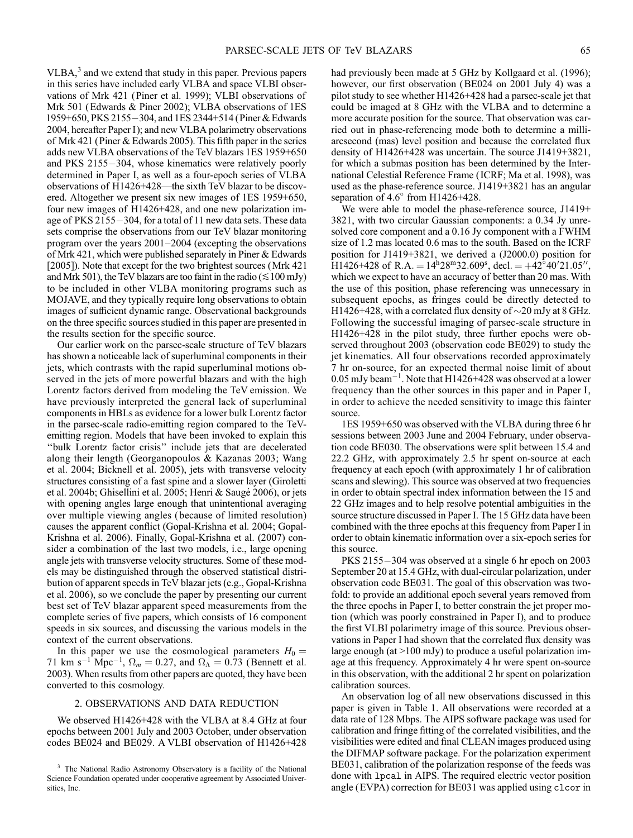$VLBA$ <sup>3</sup> and we extend that study in this paper. Previous papers in this series have included early VLBA and space VLBI observations of Mrk 421 (Piner et al. 1999); VLBI observations of Mrk 501 (Edwards & Piner 2002); VLBA observations of 1ES 1959+650, PKS 2155-304, and 1ES 2344+514 (Piner & Edwards 2004, hereafter Paper I); and new VLBA polarimetry observations of Mrk 421 (Piner & Edwards 2005). This fifth paper in the series adds new VLBA observations of the TeV blazars 1ES 1959+650 and PKS  $2155-304$ , whose kinematics were relatively poorly determined in Paper I, as well as a four-epoch series of VLBA observations of H1426+428—the sixth TeV blazar to be discovered. Altogether we present six new images of 1ES 1959+650, four new images of H1426+428, and one new polarization image of PKS  $2155-304$ , for a total of 11 new data sets. These data sets comprise the observations from our TeV blazar monitoring program over the years 2001–2004 (excepting the observations of Mrk 421, which were published separately in Piner & Edwards [2005]). Note that except for the two brightest sources (Mrk 421) and Mrk 501), the TeV blazars are too faint in the radio ( $\leq 100$  mJy) to be included in other VLBA monitoring programs such as MOJAVE, and they typically require long observations to obtain images of sufficient dynamic range. Observational backgrounds on the three specific sources studied in this paper are presented in the results section for the specific source.

Our earlier work on the parsec-scale structure of TeV blazars has shown a noticeable lack of superluminal components in their jets, which contrasts with the rapid superluminal motions observed in the jets of more powerful blazars and with the high Lorentz factors derived from modeling the TeV emission. We have previously interpreted the general lack of superluminal components in HBLs as evidence for a lower bulk Lorentz factor in the parsec-scale radio-emitting region compared to the TeVemitting region. Models that have been invoked to explain this ''bulk Lorentz factor crisis'' include jets that are decelerated along their length (Georganopoulos & Kazanas 2003; Wang et al. 2004; Bicknell et al. 2005), jets with transverse velocity structures consisting of a fast spine and a slower layer (Giroletti et al. 2004b; Ghisellini et al. 2005; Henri & Saugé 2006), or jets with opening angles large enough that unintentional averaging over multiple viewing angles ( because of limited resolution) causes the apparent conflict (Gopal-Krishna et al. 2004; Gopal-Krishna et al. 2006). Finally, Gopal-Krishna et al. (2007) consider a combination of the last two models, i.e., large opening angle jets with transverse velocity structures. Some of these models may be distinguished through the observed statistical distribution of apparent speeds in TeV blazar jets (e.g., Gopal-Krishna et al. 2006), so we conclude the paper by presenting our current best set of TeV blazar apparent speed measurements from the complete series of five papers, which consists of 16 component speeds in six sources, and discussing the various models in the context of the current observations.

In this paper we use the cosmological parameters  $H_0 =$ 71 km s<sup>-1</sup> Mpc<sup>-1</sup>,  $\Omega_m = 0.27$ , and  $\Omega_{\Lambda} = 0.73$  (Bennett et al. 2003). When results from other papers are quoted, they have been converted to this cosmology.

#### 2. OBSERVATIONS AND DATA REDUCTION

We observed H1426+428 with the VLBA at 8.4 GHz at four epochs between 2001 July and 2003 October, under observation codes BE024 and BE029. A VLBI observation of H1426+428

had previously been made at 5 GHz by Kollgaard et al. (1996); however, our first observation (BE024 on 2001 July 4) was a pilot study to see whether H1426+428 had a parsec-scale jet that could be imaged at 8 GHz with the VLBA and to determine a more accurate position for the source. That observation was carried out in phase-referencing mode both to determine a milliarcsecond (mas) level position and because the correlated flux density of H1426+428 was uncertain. The source J1419+3821, for which a submas position has been determined by the International Celestial Reference Frame ( ICRF; Ma et al. 1998), was used as the phase-reference source. J1419+3821 has an angular separation of  $4.6^{\circ}$  from H1426+428.

We were able to model the phase-reference source, J1419+ 3821, with two circular Gaussian components: a 0.34 Jy unresolved core component and a 0.16 Jy component with a FWHM size of 1.2 mas located 0.6 mas to the south. Based on the ICRF position for J1419+3821, we derived a (J2000.0) position for  $H1426+428$  of R.A. =  $14^{h}28^{m}32.609^{s}$ , decl. =  $+42^{o}40'21.05''$ , which we expect to have an accuracy of better than 20 mas. With the use of this position, phase referencing was unnecessary in subsequent epochs, as fringes could be directly detected to H1426+428, with a correlated flux density of  ${\sim}20$  mJy at 8 GHz. Following the successful imaging of parsec-scale structure in H1426+428 in the pilot study, three further epochs were observed throughout 2003 (observation code BE029) to study the jet kinematics. All four observations recorded approximately 7 hr on-source, for an expected thermal noise limit of about 0.05 mJy beam $^{-1}$ . Note that H1426+428 was observed at a lower frequency than the other sources in this paper and in Paper I, in order to achieve the needed sensitivity to image this fainter source.

1ES 1959+650 was observed with the VLBA during three 6 hr sessions between 2003 June and 2004 February, under observation code BE030. The observations were split between 15.4 and 22.2 GHz, with approximately 2.5 hr spent on-source at each frequency at each epoch (with approximately 1 hr of calibration scans and slewing). This source was observed at two frequencies in order to obtain spectral index information between the 15 and 22 GHz images and to help resolve potential ambiguities in the source structure discussed in Paper I. The 15 GHz data have been combined with the three epochs at this frequency from Paper I in order to obtain kinematic information over a six-epoch series for this source.

PKS 2155-304 was observed at a single 6 hr epoch on 2003 September 20 at 15.4 GHz, with dual-circular polarization, under observation code BE031. The goal of this observation was twofold: to provide an additional epoch several years removed from the three epochs in Paper I, to better constrain the jet proper motion (which was poorly constrained in Paper I), and to produce the first VLBI polarimetry image of this source. Previous observations in Paper I had shown that the correlated flux density was large enough (at >100 mJy) to produce a useful polarization image at this frequency. Approximately 4 hr were spent on-source in this observation, with the additional 2 hr spent on polarization calibration sources.

An observation log of all new observations discussed in this paper is given in Table 1. All observations were recorded at a data rate of 128 Mbps. The AIPS software package was used for calibration and fringe fitting of the correlated visibilities, and the visibilities were edited and final CLEAN images produced using the DIFMAP software package. For the polarization experiment BE031, calibration of the polarization response of the feeds was done with lpcal in AIPS. The required electric vector position angle (EVPA) correction for BE031 was applied using clcor in

<sup>&</sup>lt;sup>3</sup> The National Radio Astronomy Observatory is a facility of the National Science Foundation operated under cooperative agreement by Associated Universities, Inc.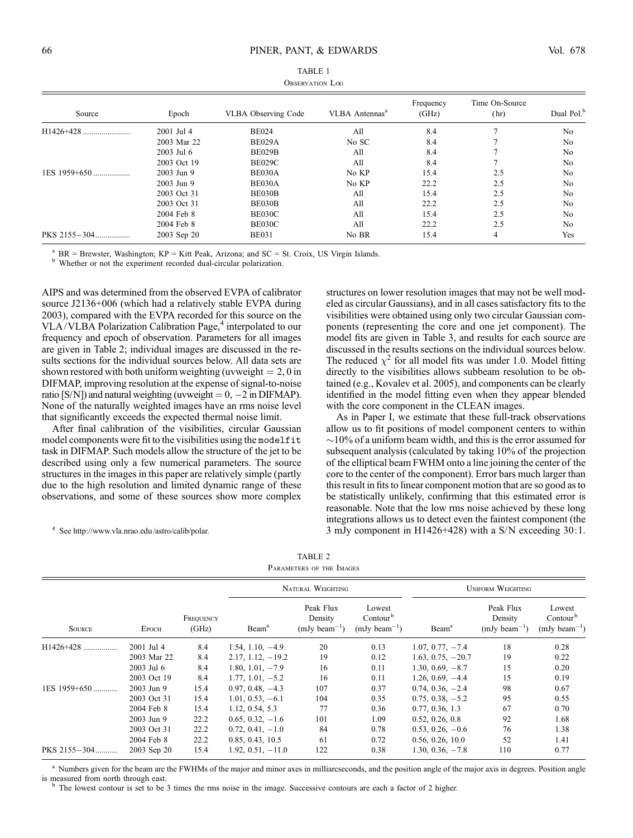| <b>UBSERVATION LUG</b> |             |                     |                            |                    |                        |                        |  |  |
|------------------------|-------------|---------------------|----------------------------|--------------------|------------------------|------------------------|--|--|
| Source                 | Epoch       | VLBA Observing Code | VLBA Antennas <sup>a</sup> | Frequency<br>(GHz) | Time On-Source<br>(hr) | Dual Pol. <sup>b</sup> |  |  |
| H1426+428              | 2001 Jul 4  | <b>BE024</b>        | All                        | 8.4                |                        | N <sub>0</sub>         |  |  |
|                        | 2003 Mar 22 | <b>BE029A</b>       | No SC                      | 8.4                |                        | N <sub>0</sub>         |  |  |
|                        | 2003 Jul 6  | BE029B              | All                        | 8.4                |                        | N <sub>0</sub>         |  |  |
|                        | 2003 Oct 19 | <b>BE029C</b>       | All                        | 8.4                |                        | N <sub>0</sub>         |  |  |
| 1ES 1959+650           | 2003 Jun 9  | BE030A              | No KP                      | 15.4               | 2.5                    | N <sub>0</sub>         |  |  |
|                        | 2003 Jun 9  | BE030A              | No KP                      | 22.2               | 2.5                    | No                     |  |  |
|                        | 2003 Oct 31 | BE030B              | All                        | 15.4               | 2.5                    | N <sub>0</sub>         |  |  |
|                        | 2003 Oct 31 | BE030B              | All                        | 22.2               | 2.5                    | No                     |  |  |
|                        | 2004 Feb 8  | BE030C              | All                        | 15.4               | 2.5                    | N <sub>0</sub>         |  |  |
|                        | 2004 Feb 8  | BE030C              | All                        | 22.2               | 2.5                    | N <sub>0</sub>         |  |  |
| PKS 2155-304           | 2003 Sep 20 | <b>BE031</b>        | No BR                      | 15.4               | $\overline{4}$         | Yes                    |  |  |

| TABLE 1         |
|-----------------|
| Observation Log |

<sup>a</sup> BR = Brewster, Washington; KP = Kitt Peak, Arizona; and SC = St. Croix, US Virgin Islands. <sup>b</sup> Whether or not the experiment recorded dual-circular polarization.

AIPS and was determined from the observed EVPA of calibrator source J2136+006 (which had a relatively stable EVPA during 2003), compared with the EVPA recorded for this source on the VLA/VLBA Polarization Calibration Page, $4$  interpolated to our frequency and epoch of observation. Parameters for all images are given in Table 2; individual images are discussed in the results sections for the individual sources below. All data sets are shown restored with both uniform weighting (uvweight  $= 2, 0$  in DIFMAP, improving resolution at the expense of signal-to-noise ratio [S/N]) and natural weighting (uvweight  $= 0, -2$  in DIFMAP). None of the naturally weighted images have an rms noise level that significantly exceeds the expected thermal noise limit.

After final calibration of the visibilities, circular Gaussian model components were fit to the visibilities using the modelfit task in DIFMAP. Such models allow the structure of the jet to be described using only a few numerical parameters. The source structures in the images in this paper are relatively simple (partly due to the high resolution and limited dynamic range of these observations, and some of these sources show more complex

<sup>4</sup> See http://www.vla.nrao.edu/astro/calib/polar.

structures on lower resolution images that may not be well modeled as circular Gaussians), and in all cases satisfactory fits to the visibilities were obtained using only two circular Gaussian components (representing the core and one jet component). The model fits are given in Table 3, and results for each source are discussed in the results sections on the individual sources below. The reduced  $\chi^2$  for all model fits was under 1.0. Model fitting directly to the visibilities allows subbeam resolution to be obtained (e.g., Kovalev et al. 2005), and components can be clearly identified in the model fitting even when they appear blended with the core component in the CLEAN images.

As in Paper I, we estimate that these full-track observations allow us to fit positions of model component centers to within  $\sim$ 10% of a uniform beam width, and this is the error assumed for subsequent analysis (calculated by taking 10% of the projection of the elliptical beam FWHM onto a line joining the center of the core to the center of the component). Error bars much larger than this result in fits to linear component motion that are so good as to be statistically unlikely, confirming that this estimated error is reasonable. Note that the low rms noise achieved by these long integrations allows us to detect even the faintest component (the 3 mJy component in H1426+428) with a S/N exceeding 30:1.

| TABLE 2                  |  |  |  |  |  |
|--------------------------|--|--|--|--|--|
| PARAMETERS OF THE IMAGES |  |  |  |  |  |

|               |              |                    |                     | NATURAL WEIGHTING                         |                                                     | <b>UNIFORM WEIGHTING</b> |                                           |                                                     |
|---------------|--------------|--------------------|---------------------|-------------------------------------------|-----------------------------------------------------|--------------------------|-------------------------------------------|-----------------------------------------------------|
| <b>SOURCE</b> | <b>EPOCH</b> | FREQUENCY<br>(GHz) | Beam <sup>a</sup>   | Peak Flux<br>Density<br>$(mJy beam^{-1})$ | Lowest<br>Contour <sup>b</sup><br>$(mJy beam^{-1})$ | Beam <sup>a</sup>        | Peak Flux<br>Density<br>$(mJy beam^{-1})$ | Lowest<br>Contour <sup>b</sup><br>$(mJy beam^{-1})$ |
| $H1426+428$   | 2001 Jul 4   | 8.4                | $1.54, 1.10, -4.9$  | 20                                        | 0.13                                                | $1.07, 0.77, -7.4$       | 18                                        | 0.28                                                |
|               | 2003 Mar 22  | 8.4                | $2.17, 1.12, -19.2$ | 19                                        | 0.12                                                | $1.63, 0.75, -20.7$      | 19                                        | 0.22                                                |
|               | 2003 Jul 6   | 8.4                | $1.80, 1.01, -7.9$  | 16                                        | 0.11                                                | $1.30, 0.69, -8.7$       | 15                                        | 0.20                                                |
|               | 2003 Oct 19  | 8.4                | $1.77, 1.01, -5.2$  | 16                                        | 0.11                                                | $1.26, 0.69, -4.4$       | 15                                        | 0.19                                                |
| 1ES 1959+650  | 2003 Jun 9   | 15.4               | $0.97, 0.48, -4.3$  | 107                                       | 0.37                                                | $0.74, 0.36, -2.4$       | 98                                        | 0.67                                                |
|               | 2003 Oct 31  | 15.4               | $1.01, 0.53, -6.1$  | 104                                       | 0.35                                                | $0.75, 0.38, -5.2$       | 95                                        | 0.55                                                |
|               | 2004 Feb 8   | 15.4               | 1.12, 0.54, 5.3     | 77                                        | 0.36                                                | 0.77, 0.36, 1.3          | 67                                        | 0.70                                                |
|               | 2003 Jun 9   | 22.2               | $0.65, 0.32, -1.6$  | 101                                       | 1.09                                                | 0.52, 0.26, 0.8          | 92                                        | 1.68                                                |
|               | 2003 Oct 31  | 22.2               | $0.72, 0.41, -1.0$  | 84                                        | 0.78                                                | $0.53, 0.26, -0.6$       | 76                                        | 1.38                                                |
|               | 2004 Feb 8   | 22.2               | 0.85, 0.43, 10.5    | 61                                        | 0.72                                                | 0.56, 0.26, 10.0         | 52                                        | 1.41                                                |
| PKS 2155-304  | 2003 Sep 20  | 15.4               | $1.92, 0.51, -11.0$ | 122                                       | 0.38                                                | $1.30, 0.36, -7.8$       | 110                                       | 0.77                                                |

<sup>a</sup> Numbers given for the beam are the FWHMs of the major and minor axes in milliarcseconds, and the position angle of the major axis in degrees. Position angle is measured from north through east.

The lowest contour is set to be 3 times the rms noise in the image. Successive contours are each a factor of 2 higher.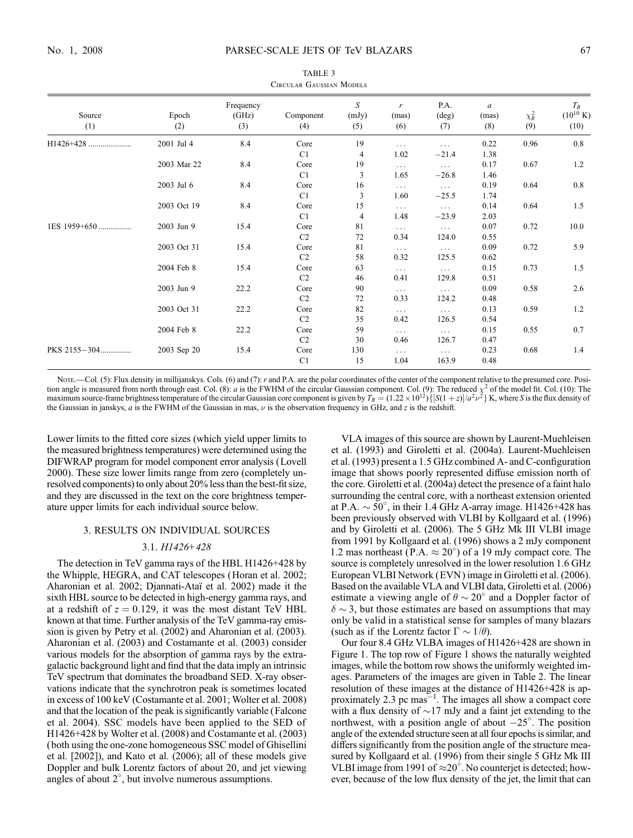TABLE 3

| <b>CIRCULAR GAUSSIAN MODELS</b> |              |                           |                        |                   |                              |                                |                               |                   |                                        |
|---------------------------------|--------------|---------------------------|------------------------|-------------------|------------------------------|--------------------------------|-------------------------------|-------------------|----------------------------------------|
| Source<br>(1)                   | Epoch<br>(2) | Frequency<br>(GHz)<br>(3) | Component<br>(4)       | S<br>(mJy)<br>(5) | $\mathbf{r}$<br>(mas)<br>(6) | P.A.<br>$(\text{deg})$<br>(7)  | $\mathfrak a$<br>(mas)<br>(8) | $\chi^2_R$<br>(9) | $T_R$<br>$(10^{10} \text{ K})$<br>(10) |
|                                 | 2001 Jul 4   | 8.4                       | Core                   | 19                | $\cdots$                     | $\ldots$                       | 0.22                          | 0.96              | 0.8                                    |
|                                 | 2003 Mar 22  | 8.4                       | C1<br>Core<br>C1       | 4<br>19<br>3      | 1.02<br>$\cdots$<br>1.65     | $-21.4$<br>$\cdots$<br>$-26.8$ | 1.38<br>0.17<br>1.46          | 0.67              | 1.2                                    |
|                                 | 2003 Jul 6   | 8.4                       | Core<br>C1             | 16<br>3           | $\cdots$<br>1.60             | $\cdots$<br>$-25.5$            | 0.19<br>1.74                  | 0.64              | 0.8                                    |
|                                 | 2003 Oct 19  | 8.4                       | Core<br>C1             | 15<br>4           | $\cdots$<br>1.48             | $\cdots$<br>$-23.9$            | 0.14<br>2.03                  | 0.64              | 1.5                                    |
| 1ES 1959+650                    | 2003 Jun 9   | 15.4                      | Core<br>C <sub>2</sub> | 81<br>72          | $\cdots$<br>0.34             | $\cdots$<br>124.0              | 0.07<br>0.55                  | 0.72              | 10.0                                   |
|                                 | 2003 Oct 31  | 15.4                      | Core<br>C <sub>2</sub> | 81<br>58          | $\cdots$<br>0.32             | $\ldots$ .<br>125.5            | 0.09<br>0.62                  | 0.72              | 5.9                                    |
|                                 | 2004 Feb 8   | 15.4                      | Core<br>C2             | 63<br>46          | $\ldots$<br>0.41             | $\cdots$<br>129.8              | 0.15<br>0.51                  | 0.73              | 1.5                                    |
|                                 | 2003 Jun 9   | 22.2                      | Core<br>C <sub>2</sub> | 90<br>72          | $\cdots$<br>0.33             | $\cdots$<br>124.2              | 0.09<br>0.48                  | 0.58              | 2.6                                    |
|                                 | 2003 Oct 31  | 22.2                      | Core<br>C <sub>2</sub> | 82<br>35          | $\cdots$<br>0.42             | $\ldots$ .<br>126.5            | 0.13<br>0.54                  | 0.59              | 1.2                                    |
|                                 | 2004 Feb 8   | 22.2                      | Core<br>C2             | 59<br>30          | $\cdots$<br>0.46             | $\cdots$<br>126.7              | 0.15<br>0.47                  | 0.55              | 0.7                                    |
| PKS 2155-304                    | 2003 Sep 20  | 15.4                      | Core<br>C1             | 130<br>15         | $\cdots$<br>1.04             | $\cdots$<br>163.9              | 0.23<br>0.48                  | 0.68              | 1.4                                    |

NOTE.—Col. (5): Flux density in millijanskys. Cols. (6) and (7): r and P.A. are the polar coordinates of the center of the component relative to the presumed core. Position angle is measured from north through east. Col. (8): *a* is the FWHM of the circular Gaussian component. Col. (9): The reduced  $\chi^2$  of the model fit. Col. (10): The maximum source-frame brightness temperature of the circular Gaussian core component is given by  $T_B = (1.22 \times 10^{12}) \{ [S(1+z)]/a^2 \nu^2 \}$  K, where S is the flux density of the Gaussian in janskys,  $a$  is the FWHM of the Gaussian in mas,  $\nu$  is the observation frequency in GHz, and  $z$  is the redshift.

Lower limits to the fitted core sizes (which yield upper limits to the measured brightness temperatures) were determined using the DIFWRAP program for model component error analysis (Lovell 2000). These size lower limits range from zero (completely unresolved components) to only about 20% less than the best-fit size, and they are discussed in the text on the core brightness temperature upper limits for each individual source below.

### 3. RESULTS ON INDIVIDUAL SOURCES

#### 3.1. H1426+428

The detection in TeV gamma rays of the HBL H1426+428 by the Whipple, HEGRA, and CAT telescopes (Horan et al. 2002; Aharonian et al. 2002; Djannati-Ataı¨ et al. 2002) made it the sixth HBL source to be detected in high-energy gamma rays, and at a redshift of  $z = 0.129$ , it was the most distant TeV HBL known at that time. Further analysis of the TeV gamma-ray emission is given by Petry et al. (2002) and Aharonian et al. (2003). Aharonian et al. (2003) and Costamante et al. (2003) consider various models for the absorption of gamma rays by the extragalactic background light and find that the data imply an intrinsic TeV spectrum that dominates the broadband SED. X-ray observations indicate that the synchrotron peak is sometimes located in excess of 100 keV (Costamante et al. 2001; Wolter et al. 2008) and that the location of the peak is significantly variable (Falcone et al. 2004). SSC models have been applied to the SED of H1426+428 by Wolter et al. (2008) and Costamante et al. (2003) (both using the one-zone homogeneous SSC model of Ghisellini et al. [2002]), and Kato et al. (2006); all of these models give Doppler and bulk Lorentz factors of about 20, and jet viewing angles of about  $2^{\circ}$ , but involve numerous assumptions.

VLA images of this source are shown by Laurent-Muehleisen et al. (1993) and Giroletti et al. (2004a). Laurent-Muehleisen et al. (1993) present a 1.5 GHz combined A- and C-configuration image that shows poorly represented diffuse emission north of the core. Giroletti et al. (2004a) detect the presence of a faint halo surrounding the central core, with a northeast extension oriented at P.A.  $\sim$  50°, in their 1.4 GHz A-array image. H1426+428 has been previously observed with VLBI by Kollgaard et al. (1996) and by Giroletti et al. (2006). The 5 GHz Mk III VLBI image from 1991 by Kollgaard et al. (1996) shows a 2 mJy component 1.2 mas northeast (P.A.  $\approx 20^{\circ}$ ) of a 19 mJy compact core. The source is completely unresolved in the lower resolution 1.6 GHz European VLBI Network (EVN ) image in Giroletti et al. (2006). Based on the available VLA and VLBI data, Giroletti et al. (2006) estimate a viewing angle of  $\theta \sim 20^{\circ}$  and a Doppler factor of  $\delta \sim 3$ , but those estimates are based on assumptions that may only be valid in a statistical sense for samples of many blazars (such as if the Lorentz factor  $\Gamma \sim 1/\theta$ ).

Our four 8.4 GHz VLBA images of H1426+428 are shown in Figure 1. The top row of Figure 1 shows the naturally weighted images, while the bottom row shows the uniformly weighted images. Parameters of the images are given in Table 2. The linear resolution of these images at the distance of H1426+428 is approximately 2.3 pc mas $^{-1}$ . The images all show a compact core with a flux density of  $\sim$ 17 mJy and a faint jet extending to the northwest, with a position angle of about  $-25^\circ$ . The position angle of the extended structure seen at all four epochs is similar, and differs significantly from the position angle of the structure measured by Kollgaard et al. (1996) from their single 5 GHz Mk III VLBI image from 1991 of  $\approx 20^\circ$ . No counterjet is detected; however, because of the low flux density of the jet, the limit that can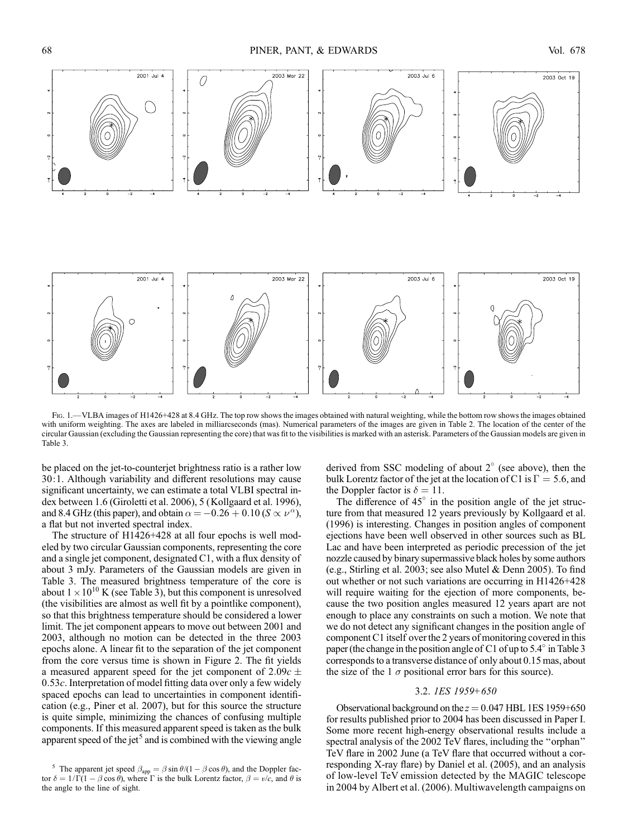

Fig. 1.—VLBA images of H1426+428 at 8.4 GHz. The top row shows the images obtained with natural weighting, while the bottom row shows the images obtained with uniform weighting. The axes are labeled in milliarcseconds (mas). Numerical parameters of the images are given in Table 2. The location of the center of the circular Gaussian (excluding the Gaussian representing the core) that was fit to the visibilities is marked with an asterisk. Parameters of the Gaussian models are given in Table 3.

be placed on the jet-to-counterjet brightness ratio is a rather low 30:1. Although variability and different resolutions may cause significant uncertainty, we can estimate a total VLBI spectral index between 1.6 (Giroletti et al. 2006), 5 (Kollgaard et al. 1996), and 8.4 GHz (this paper), and obtain  $\alpha = -0.26 + 0.10$  (S  $\propto \nu^{\alpha}$ ), a flat but not inverted spectral index.

The structure of H1426+428 at all four epochs is well modeled by two circular Gaussian components, representing the core and a single jet component, designated C1, with a flux density of about 3 mJy. Parameters of the Gaussian models are given in Table 3. The measured brightness temperature of the core is about  $1 \times 10^{10}$  K (see Table 3), but this component is unresolved (the visibilities are almost as well fit by a pointlike component), so that this brightness temperature should be considered a lower limit. The jet component appears to move out between 2001 and 2003, although no motion can be detected in the three 2003 epochs alone. A linear fit to the separation of the jet component from the core versus time is shown in Figure 2. The fit yields a measured apparent speed for the jet component of  $2.09c \pm$  $0.53c$ . Interpretation of model fitting data over only a few widely spaced epochs can lead to uncertainties in component identification (e.g., Piner et al. 2007), but for this source the structure is quite simple, minimizing the chances of confusing multiple components. If this measured apparent speed is taken as the bulk apparent speed of the jet<sup>5</sup> and is combined with the viewing angle

derived from SSC modeling of about  $2^{\circ}$  (see above), then the bulk Lorentz factor of the jet at the location of C1 is  $\Gamma = 5.6$ , and the Doppler factor is  $\delta = 11$ .

The difference of  $45^\circ$  in the position angle of the jet structure from that measured 12 years previously by Kollgaard et al. (1996) is interesting. Changes in position angles of component ejections have been well observed in other sources such as BL Lac and have been interpreted as periodic precession of the jet nozzle caused by binary supermassive black holes by some authors (e.g., Stirling et al. 2003; see also Mutel & Denn 2005). To find out whether or not such variations are occurring in H1426+428 will require waiting for the ejection of more components, because the two position angles measured 12 years apart are not enough to place any constraints on such a motion. We note that we do not detect any significant changes in the position angle of component C1 itself over the 2 years of monitoring covered in this paper (the change in the position angle of C1 of up to  $5.4^\circ$  in Table 3 corresponds to a transverse distance of only about 0.15 mas, about the size of the 1  $\sigma$  positional error bars for this source).

## 3.2. 1ES 1959+650

Observational background on the  $z = 0.047$  HBL 1ES 1959+650 for results published prior to 2004 has been discussed in Paper I. Some more recent high-energy observational results include a spectral analysis of the 2002 TeV flares, including the ''orphan'' TeV flare in 2002 June (a TeV flare that occurred without a corresponding X-ray flare) by Daniel et al. (2005), and an analysis of low-level TeV emission detected by the MAGIC telescope in 2004 by Albert et al. (2006). Multiwavelength campaigns on

The apparent jet speed  $\beta_{app} = \beta \sin \theta / (1 - \beta \cos \theta)$ , and the Doppler factor  $\delta = 1/\Gamma(1 - \beta \cos \theta)$ , where  $\Gamma$  is the bulk Lorentz factor,  $\beta = v/c$ , and  $\theta$  is the angle to the line of sight.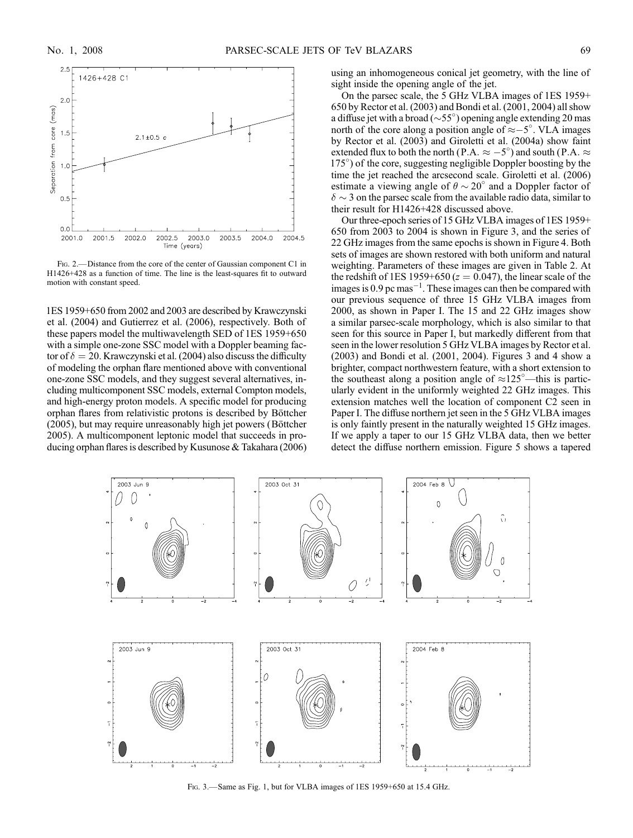

FIG. 2.—Distance from the core of the center of Gaussian component C1 in H1426+428 as a function of time. The line is the least-squares fit to outward motion with constant speed.

1ES 1959+650 from 2002 and 2003 are described by Krawczynski et al. (2004) and Gutierrez et al. (2006), respectively. Both of these papers model the multiwavelength SED of 1ES 1959+650 with a simple one-zone SSC model with a Doppler beaming factor of  $\delta = 20$ . Krawczynski et al. (2004) also discuss the difficulty of modeling the orphan flare mentioned above with conventional one-zone SSC models, and they suggest several alternatives, including multicomponent SSC models, external Compton models, and high-energy proton models. A specific model for producing orphan flares from relativistic protons is described by Böttcher (2005), but may require unreasonably high jet powers (Böttcher 2005). A multicomponent leptonic model that succeeds in producing orphan flares is described by Kusunose & Takahara (2006) using an inhomogeneous conical jet geometry, with the line of sight inside the opening angle of the jet.

On the parsec scale, the 5 GHz VLBA images of 1ES 1959+ 650 by Rector et al. (2003) and Bondi et al. (2001, 2004) all show a diffuse jet with a broad ( $\sim$ 55°) opening angle extending 20 mas north of the core along a position angle of  $\approx -5^{\circ}$ . VLA images by Rector et al. (2003) and Giroletti et al. (2004a) show faint extended flux to both the north (P.A.  $\approx -5^{\circ}$ ) and south (P.A.  $\approx$ 175 ) of the core, suggesting negligible Doppler boosting by the time the jet reached the arcsecond scale. Giroletti et al. (2006) estimate a viewing angle of  $\theta \sim 20^{\circ}$  and a Doppler factor of  $\delta \sim 3$  on the parsec scale from the available radio data, similar to their result for H1426+428 discussed above.

Our three-epoch series of 15 GHz VLBA images of 1ES 1959+ 650 from 2003 to 2004 is shown in Figure 3, and the series of 22 GHz images from the same epochs is shown in Figure 4. Both sets of images are shown restored with both uniform and natural weighting. Parameters of these images are given in Table 2. At the redshift of 1ES 1959+650 ( $z = 0.047$ ), the linear scale of the images is 0.9 pc mas $^{-1}$ . These images can then be compared with our previous sequence of three 15 GHz VLBA images from 2000, as shown in Paper I. The 15 and 22 GHz images show a similar parsec-scale morphology, which is also similar to that seen for this source in Paper I, but markedly different from that seen in the lower resolution 5 GHz VLBA images by Rector et al. (2003) and Bondi et al. (2001, 2004). Figures 3 and 4 show a brighter, compact northwestern feature, with a short extension to the southeast along a position angle of  $\approx 125^{\circ}$ —this is particularly evident in the uniformly weighted 22 GHz images. This extension matches well the location of component C2 seen in Paper I. The diffuse northern jet seen in the 5 GHz VLBA images is only faintly present in the naturally weighted 15 GHz images. If we apply a taper to our 15 GHz VLBA data, then we better detect the diffuse northern emission. Figure 5 shows a tapered



Fig. 3.—Same as Fig. 1, but for VLBA images of 1ES 1959+650 at 15.4 GHz.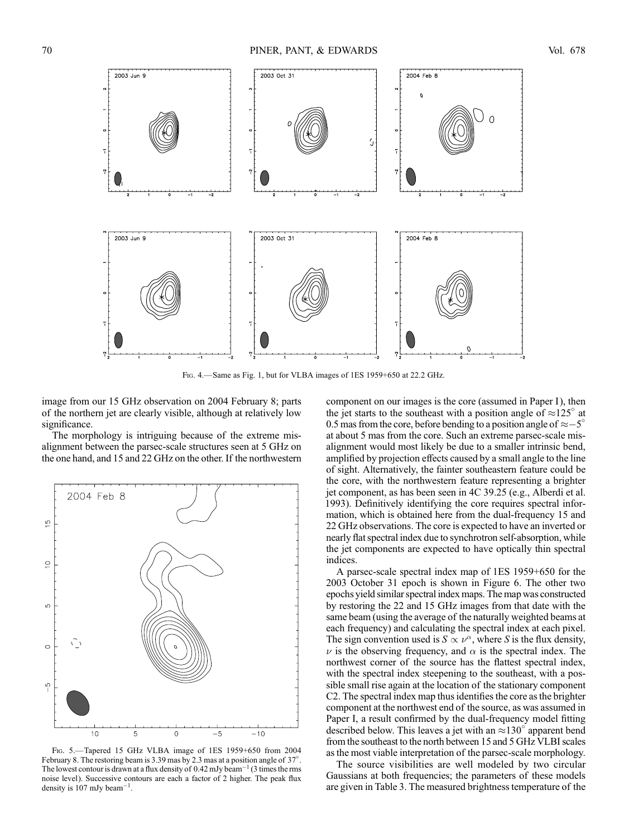

Fig. 4.—Same as Fig. 1, but for VLBA images of 1ES 1959+650 at 22.2 GHz.

image from our 15 GHz observation on 2004 February 8; parts of the northern jet are clearly visible, although at relatively low significance.

The morphology is intriguing because of the extreme misalignment between the parsec-scale structures seen at 5 GHz on the one hand, and 15 and 22 GHz on the other. If the northwestern



Fig. 5.—Tapered 15 GHz VLBA image of 1ES 1959+650 from 2004 February 8. The restoring beam is 3.39 mas by 2.3 mas at a position angle of  $37^{\circ}$ . The lowest contour is drawn at a flux density of  $0.42$  mJy beam<sup>-1</sup> (3 times the rms noise level). Successive contours are each a factor of 2 higher. The peak flux density is 107 mJy beam<sup>-1</sup>.

component on our images is the core (assumed in Paper I), then the jet starts to the southeast with a position angle of  $\approx 125^\circ$  at 0.5 mas from the core, before bending to a position angle of  $\approx -5^{\circ}$ at about 5 mas from the core. Such an extreme parsec-scale misalignment would most likely be due to a smaller intrinsic bend, amplified by projection effects caused by a small angle to the line of sight. Alternatively, the fainter southeastern feature could be the core, with the northwestern feature representing a brighter jet component, as has been seen in 4C 39.25 (e.g., Alberdi et al. 1993). Definitively identifying the core requires spectral information, which is obtained here from the dual-frequency 15 and 22 GHz observations. The core is expected to have an inverted or nearly flat spectral index due to synchrotron self-absorption, while the jet components are expected to have optically thin spectral indices.

A parsec-scale spectral index map of 1ES 1959+650 for the 2003 October 31 epoch is shown in Figure 6. The other two epochs yield similar spectral index maps. The map was constructed by restoring the 22 and 15 GHz images from that date with the same beam (using the average of the naturally weighted beams at each frequency) and calculating the spectral index at each pixel. The sign convention used is  $S \propto \nu^{\alpha}$ , where S is the flux density,  $\nu$  is the observing frequency, and  $\alpha$  is the spectral index. The northwest corner of the source has the flattest spectral index, with the spectral index steepening to the southeast, with a possible small rise again at the location of the stationary component C2. The spectral index map thus identifies the core as the brighter component at the northwest end of the source, as was assumed in Paper I, a result confirmed by the dual-frequency model fitting described below. This leaves a jet with an  $\approx 130^\circ$  apparent bend from the southeast to the north between 15 and 5 GHz VLBI scales as the most viable interpretation of the parsec-scale morphology.

The source visibilities are well modeled by two circular Gaussians at both frequencies; the parameters of these models are given in Table 3. The measured brightness temperature of the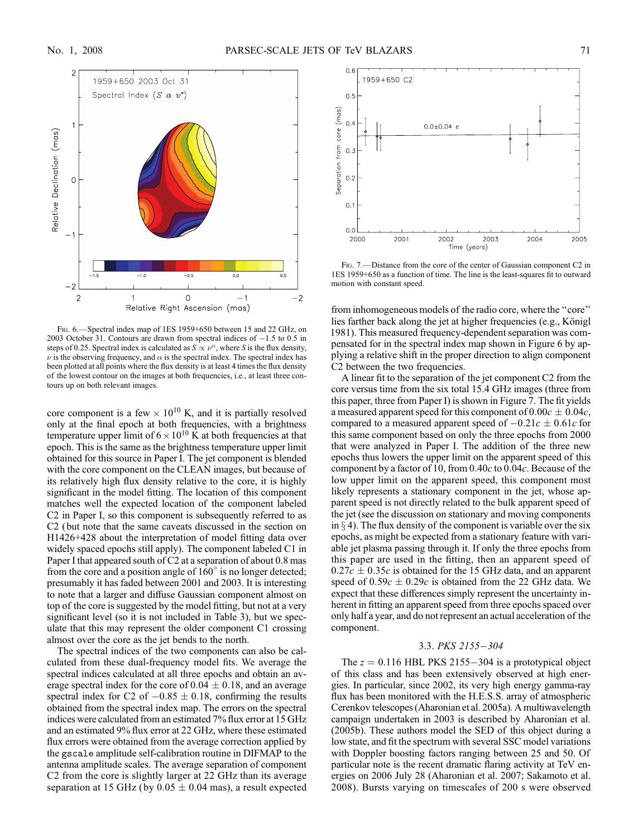

Fig. 6.—Spectral index map of 1ES 1959+650 between 15 and 22 GHz, on 2003 October 31. Contours are drawn from spectral indices of  $-1.5$  to 0.5 in steps of 0.25. Spectral index is calculated as  $S \propto \nu^{\alpha}$ , where S is the flux density,  $\nu$  is the observing frequency, and  $\alpha$  is the spectral index. The spectral index has been plotted at all points where the flux density is at least 4 times the flux density of the lowest contour on the images at both frequencies, i.e., at least three contours up on both relevant images.

core component is a few  $\times 10^{10}$  K, and it is partially resolved only at the final epoch at both frequencies, with a brightness temperature upper limit of  $6 \times 10^{10}$  K at both frequencies at that epoch. This is the same as the brightness temperature upper limit obtained for this source in Paper I. The jet component is blended with the core component on the CLEAN images, but because of its relatively high flux density relative to the core, it is highly significant in the model fitting. The location of this component matches well the expected location of the component labeled C2 in Paper I, so this component is subsequently referred to as C2 (but note that the same caveats discussed in the section on H1426+428 about the interpretation of model fitting data over widely spaced epochs still apply). The component labeled C1 in Paper I that appeared south of C2 at a separation of about 0.8 mas from the core and a position angle of  $160^\circ$  is no longer detected; presumably it has faded between 2001 and 2003. It is interesting to note that a larger and diffuse Gaussian component almost on top of the core is suggested by the model fitting, but not at a very significant level (so it is not included in Table 3), but we speculate that this may represent the older component C1 crossing almost over the core as the jet bends to the north.

The spectral indices of the two components can also be calculated from these dual-frequency model fits. We average the spectral indices calculated at all three epochs and obtain an average spectral index for the core of  $0.04 \pm 0.18$ , and an average spectral index for C2 of  $-0.85 \pm 0.18$ , confirming the results obtained from the spectral index map. The errors on the spectral indices were calculated from an estimated 7% flux error at 15 GHz and an estimated 9% flux error at 22 GHz, where these estimated flux errors were obtained from the average correction applied by the gscale amplitude self-calibration routine in DIFMAP to the antenna amplitude scales. The average separation of component C2 from the core is slightly larger at 22 GHz than its average separation at 15 GHz (by  $0.05 \pm 0.04$  mas), a result expected



FIG. 7.—Distance from the core of the center of Gaussian component C2 in 1ES 1959+650 as a function of time. The line is the least-squares fit to outward motion with constant speed.

from inhomogeneous models of the radio core, where the ''core'' lies farther back along the jet at higher frequencies (e.g., Königl 1981). This measured frequency-dependent separation was compensated for in the spectral index map shown in Figure 6 by applying a relative shift in the proper direction to align component C2 between the two frequencies.

A linear fit to the separation of the jet component C2 from the core versus time from the six total 15.4 GHz images (three from this paper, three from Paper I) is shown in Figure 7. The fit yields a measured apparent speed for this component of  $0.00c \pm 0.04c$ , compared to a measured apparent speed of  $-0.21c \pm 0.61c$  for this same component based on only the three epochs from 2000 that were analyzed in Paper I. The addition of the three new epochs thus lowers the upper limit on the apparent speed of this component by a factor of 10, from  $0.40c$  to  $0.04c$ . Because of the low upper limit on the apparent speed, this component most likely represents a stationary component in the jet, whose apparent speed is not directly related to the bulk apparent speed of the jet (see the discussion on stationary and moving components in  $\S$  4). The flux density of the component is variable over the six epochs, as might be expected from a stationary feature with variable jet plasma passing through it. If only the three epochs from this paper are used in the fitting, then an apparent speed of  $0.27c \pm 0.35c$  is obtained for the 15 GHz data, and an apparent speed of  $0.59c \pm 0.29c$  is obtained from the 22 GHz data. We expect that these differences simply represent the uncertainty inherent in fitting an apparent speed from three epochs spaced over only half a year, and do not represent an actual acceleration of the component.

#### 3.3. PKS 2155-304

The  $z = 0.116$  HBL PKS 2155-304 is a prototypical object of this class and has been extensively observed at high energies. In particular, since 2002, its very high energy gamma-ray flux has been monitored with the H.E.S.S. array of atmospheric Cerenkov telescopes (Aharonian et al. 2005a). A multiwavelength campaign undertaken in 2003 is described by Aharonian et al. (2005b). These authors model the SED of this object during a low state, and fit the spectrum with several SSC model variations with Doppler boosting factors ranging between 25 and 50. Of particular note is the recent dramatic flaring activity at TeV energies on 2006 July 28 (Aharonian et al. 2007; Sakamoto et al. 2008). Bursts varying on timescales of 200 s were observed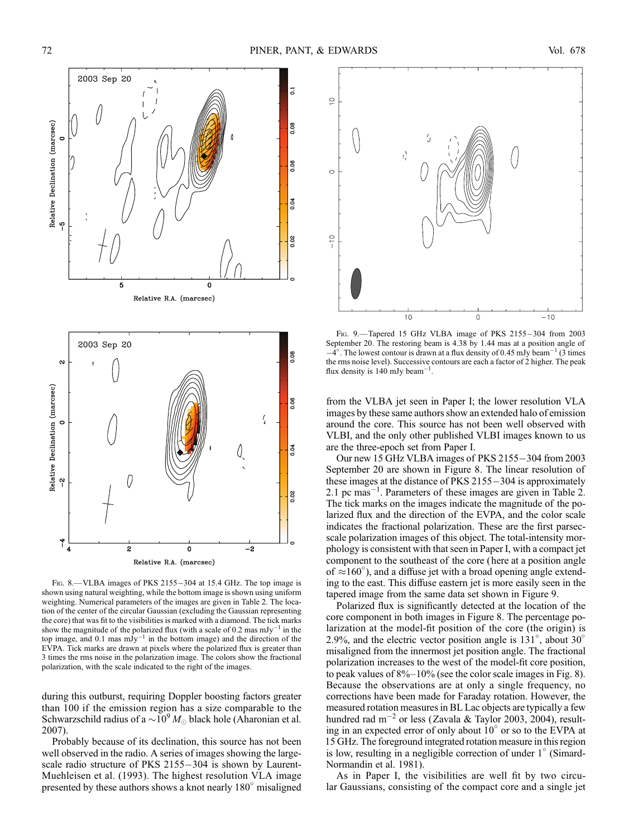

FIG. 8.—VLBA images of PKS 2155-304 at 15.4 GHz. The top image is shown using natural weighting, while the bottom image is shown using uniform weighting. Numerical parameters of the images are given in Table 2. The location of the center of the circular Gaussian (excluding the Gaussian representing the core) that was fit to the visibilities is marked with a diamond. The tick marks show the magnitude of the polarized flux (with a scale of 0.2 mas  $mJy^{-1}$  in the top image, and 0.1 mas  $mJy^{-1}$  in the bottom image) and the direction of the EVPA. Tick marks are drawn at pixels where the polarized flux is greater than 3 times the rms noise in the polarization image. The colors show the fractional polarization, with the scale indicated to the right of the images.

during this outburst, requiring Doppler boosting factors greater than 100 if the emission region has a size comparable to the Schwarzschild radius of a  $\sim 10^9 M_{\odot}$  black hole (Aharonian et al. 2007).

Probably because of its declination, this source has not been well observed in the radio. A series of images showing the largescale radio structure of PKS  $2155-304$  is shown by Laurent-Muehleisen et al. (1993). The highest resolution VLA image presented by these authors shows a knot nearly  $180^\circ$  misaligned



FIG. 9.-Tapered 15 GHz VLBA image of PKS 2155-304 from 2003 September 20. The restoring beam is 4.38 by 1.44 mas at a position angle of  $-4^{\circ}$ . The lowest contour is drawn at a flux density of 0.45 mJy beam<sup>-1</sup> (3 times the rms noise level). Successive contours are each a factor of 2 higher. The peak flux density is  $140 \text{ mJy beam}^{-1}$ .

from the VLBA jet seen in Paper I; the lower resolution VLA images by these same authors show an extended halo of emission around the core. This source has not been well observed with VLBI, and the only other published VLBI images known to us are the three-epoch set from Paper I.

Our new 15 GHz VLBA images of PKS 2155-304 from 2003 September 20 are shown in Figure 8. The linear resolution of these images at the distance of PKS  $2155-304$  is approximately 2.1 pc mas<sup>-1</sup>. Parameters of these images are given in Table 2. The tick marks on the images indicate the magnitude of the polarized flux and the direction of the EVPA, and the color scale indicates the fractional polarization. These are the first parsecscale polarization images of this object. The total-intensity morphology is consistent with that seen in Paper I, with a compact jet component to the southeast of the core (here at a position angle of  $\approx 160^\circ$ ), and a diffuse jet with a broad opening angle extending to the east. This diffuse eastern jet is more easily seen in the tapered image from the same data set shown in Figure 9.

Polarized flux is significantly detected at the location of the core component in both images in Figure 8. The percentage polarization at the model-fit position of the core (the origin) is 2.9%, and the electric vector position angle is  $131^{\circ}$ , about  $30^{\circ}$ misaligned from the innermost jet position angle. The fractional polarization increases to the west of the model-fit core position, to peak values of 8%–10% (see the color scale images in Fig. 8). Because the observations are at only a single frequency, no corrections have been made for Faraday rotation. However, the measured rotation measures in BL Lac objects are typically a few hundred rad m<sup>-2</sup> or less (Zavala & Taylor 2003, 2004), resulting in an expected error of only about  $10^{\circ}$  or so to the EVPA at 15 GHz. The foreground integrated rotation measure in this region is low, resulting in a negligible correction of under  $1^\circ$  (Simard-Normandin et al. 1981).

As in Paper I, the visibilities are well fit by two circular Gaussians, consisting of the compact core and a single jet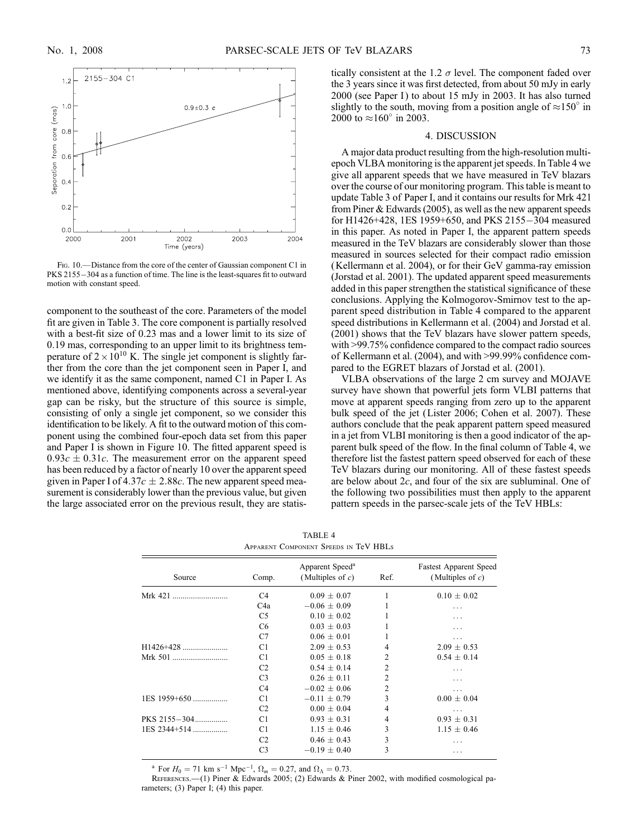

FIG. 10.—Distance from the core of the center of Gaussian component C1 in PKS 2155-304 as a function of time. The line is the least-squares fit to outward motion with constant speed.

component to the southeast of the core. Parameters of the model fit are given in Table 3. The core component is partially resolved with a best-fit size of 0.23 mas and a lower limit to its size of 0.19 mas, corresponding to an upper limit to its brightness temperature of  $2 \times 10^{10}$  K. The single jet component is slightly farther from the core than the jet component seen in Paper I, and we identify it as the same component, named C1 in Paper I. As mentioned above, identifying components across a several-year gap can be risky, but the structure of this source is simple, consisting of only a single jet component, so we consider this identification to be likely. A fit to the outward motion of this component using the combined four-epoch data set from this paper and Paper I is shown in Figure 10. The fitted apparent speed is  $0.93c \pm 0.31c$ . The measurement error on the apparent speed has been reduced by a factor of nearly 10 over the apparent speed given in Paper I of  $4.37c \pm 2.88c$ . The new apparent speed measurement is considerably lower than the previous value, but given the large associated error on the previous result, they are statistically consistent at the 1.2  $\sigma$  level. The component faded over the 3 years since it was first detected, from about 50 mJy in early 2000 (see Paper I) to about 15 mJy in 2003. It has also turned slightly to the south, moving from a position angle of  $\approx 150^\circ$  in 2000 to  $\approx 160^{\circ}$  in 2003.

#### 4. DISCUSSION

A major data product resulting from the high-resolution multiepoch VLBA monitoring is the apparent jet speeds. In Table 4 we give all apparent speeds that we have measured in TeV blazars over the course of our monitoring program. This table is meant to update Table 3 of Paper I, and it contains our results for Mrk 421 from Piner & Edwards (2005), as well as the new apparent speeds for H1426+428, 1ES 1959+650, and PKS 2155-304 measured in this paper. As noted in Paper I, the apparent pattern speeds measured in the TeV blazars are considerably slower than those measured in sources selected for their compact radio emission (Kellermann et al. 2004), or for their GeV gamma-ray emission (Jorstad et al. 2001). The updated apparent speed measurements added in this paper strengthen the statistical significance of these conclusions. Applying the Kolmogorov-Smirnov test to the apparent speed distribution in Table 4 compared to the apparent speed distributions in Kellermann et al. (2004) and Jorstad et al. (2001) shows that the TeV blazars have slower pattern speeds, with >99.75% confidence compared to the compact radio sources of Kellermann et al. (2004), and with >99.99% confidence compared to the EGRET blazars of Jorstad et al. (2001).

VLBA observations of the large 2 cm survey and MOJAVE survey have shown that powerful jets form VLBI patterns that move at apparent speeds ranging from zero up to the apparent bulk speed of the jet (Lister 2006; Cohen et al. 2007). These authors conclude that the peak apparent pattern speed measured in a jet from VLBI monitoring is then a good indicator of the apparent bulk speed of the flow. In the final column of Table 4, we therefore list the fastest pattern speed observed for each of these TeV blazars during our monitoring. All of these fastest speeds are below about 2c, and four of the six are subluminal. One of the following two possibilities must then apply to the apparent pattern speeds in the parsec-scale jets of the TeV HBLs:

TABLE 4 Apparent Component Speeds in TeV HBLs

| Source       | Comp.            | Apparent Speed <sup>a</sup><br>(Multiples of $c$ ) | Ref.           | <b>Fastest Apparent Speed</b><br>(Multiples of $c$ ) |
|--------------|------------------|----------------------------------------------------|----------------|------------------------------------------------------|
| Mrk 421      | C <sub>4</sub>   | $0.09 \pm 0.07$                                    | 1              | $0.10 \pm 0.02$                                      |
|              | C <sub>4</sub> a | $-0.06 \pm 0.09$                                   |                | .                                                    |
|              | C <sub>5</sub>   | $0.10 \pm 0.02$                                    |                | .                                                    |
|              | C <sub>6</sub>   | $0.03 \pm 0.03$                                    |                |                                                      |
|              | C7               | $0.06 + 0.01$                                      |                | .                                                    |
|              | C <sub>1</sub>   | $2.09 \pm 0.53$                                    | 4              | $2.09 \pm 0.53$                                      |
| Mrk 501      | C1               | $0.05 + 0.18$                                      | 2              | $0.54 \pm 0.14$                                      |
|              | C <sub>2</sub>   | $0.54 + 0.14$                                      | 2              | .                                                    |
|              | C <sub>3</sub>   | $0.26 + 0.11$                                      | $\overline{c}$ | .                                                    |
|              | C <sub>4</sub>   | $-0.02 \pm 0.06$                                   | 2              | .                                                    |
| 1ES 1959+650 | C1               | $-0.11 \pm 0.79$                                   | 3              | $0.00 \pm 0.04$                                      |
|              | C <sub>2</sub>   | $0.00 \pm 0.04$                                    | 4              | .                                                    |
| PKS 2155-304 | C <sub>1</sub>   | $0.93 \pm 0.31$                                    | 4              | $0.93 \pm 0.31$                                      |
| 1ES 2344+514 | C <sub>1</sub>   | $1.15 + 0.46$                                      | 3              | $1.15 + 0.46$                                        |
|              | C <sub>2</sub>   | $0.46 \pm 0.43$                                    | 3              | .                                                    |
|              | C <sub>3</sub>   | $-0.19 \pm 0.40$                                   | 3              | .                                                    |
|              |                  |                                                    |                |                                                      |

<sup>a</sup> For  $H_0 = 71$  km s<sup>-1</sup> Mpc<sup>-1</sup>,  $\Omega_m = 0.27$ , and  $\Omega_{\Lambda} = 0.73$ .

References.—(1) Piner & Edwards 2005; (2) Edwards & Piner 2002, with modified cosmological parameters; (3) Paper I; (4) this paper.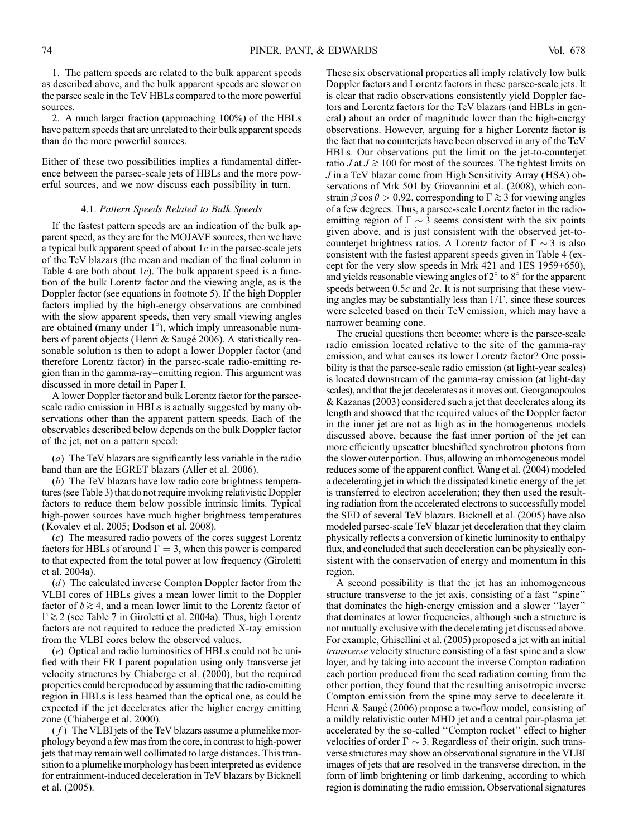1. The pattern speeds are related to the bulk apparent speeds as described above, and the bulk apparent speeds are slower on the parsec scale in the TeV HBLs compared to the more powerful sources.

2. A much larger fraction (approaching 100%) of the HBLs have pattern speeds that are unrelated to their bulk apparent speeds than do the more powerful sources.

Either of these two possibilities implies a fundamental difference between the parsec-scale jets of HBLs and the more powerful sources, and we now discuss each possibility in turn.

#### 4.1. Pattern Speeds Related to Bulk Speeds

If the fastest pattern speeds are an indication of the bulk apparent speed, as they are for the MOJAVE sources, then we have a typical bulk apparent speed of about  $1c$  in the parsec-scale jets of the TeV blazars (the mean and median of the final column in Table 4 are both about  $1c$ ). The bulk apparent speed is a function of the bulk Lorentz factor and the viewing angle, as is the Doppler factor (see equations in footnote 5). If the high Doppler factors implied by the high-energy observations are combined with the slow apparent speeds, then very small viewing angles are obtained (many under 1°), which imply unreasonable numbers of parent objects (Henri & Saugé 2006). A statistically reasonable solution is then to adopt a lower Doppler factor (and therefore Lorentz factor) in the parsec-scale radio-emitting region than in the gamma-ray–emitting region. This argument was discussed in more detail in Paper I.

A lower Doppler factor and bulk Lorentz factor for the parsecscale radio emission in HBLs is actually suggested by many observations other than the apparent pattern speeds. Each of the observables described below depends on the bulk Doppler factor of the jet, not on a pattern speed:

(a) The TeV blazars are significantly less variable in the radio band than are the EGRET blazars (Aller et al. 2006).

(b) The TeV blazars have low radio core brightness temperatures (see Table 3) that do not require invoking relativistic Doppler factors to reduce them below possible intrinsic limits. Typical high-power sources have much higher brightness temperatures (Kovalev et al. 2005; Dodson et al. 2008).

(c) The measured radio powers of the cores suggest Lorentz factors for HBLs of around  $\Gamma = 3$ , when this power is compared to that expected from the total power at low frequency (Giroletti et al. 2004a).

(d) The calculated inverse Compton Doppler factor from the VLBI cores of HBLs gives a mean lower limit to the Doppler factor of  $\delta \gtrsim 4$ , and a mean lower limit to the Lorentz factor of  $\Gamma \gtrsim 2$  (see Table 7 in Giroletti et al. 2004a). Thus, high Lorentz factors are not required to reduce the predicted X-ray emission from the VLBI cores below the observed values.

(e) Optical and radio luminosities of HBLs could not be unified with their FR I parent population using only transverse jet velocity structures by Chiaberge et al. (2000), but the required properties could be reproduced by assuming that the radio-emitting region in HBLs is less beamed than the optical one, as could be expected if the jet decelerates after the higher energy emitting zone (Chiaberge et al. 2000).

 $(f)$  The VLBI jets of the TeV blazars assume a plumelike morphology beyond a few mas from the core, in contrast to high-power jets that may remain well collimated to large distances. This transition to a plumelike morphology has been interpreted as evidence for entrainment-induced deceleration in TeV blazars by Bicknell et al. (2005).

These six observational properties all imply relatively low bulk Doppler factors and Lorentz factors in these parsec-scale jets. It is clear that radio observations consistently yield Doppler factors and Lorentz factors for the TeV blazars (and HBLs in general) about an order of magnitude lower than the high-energy observations. However, arguing for a higher Lorentz factor is the fact that no counterjets have been observed in any of the TeV HBLs. Our observations put the limit on the jet-to-counterjet ratio J at  $J \gtrsim 100$  for most of the sources. The tightest limits on J in a TeV blazar come from High Sensitivity Array (HSA) observations of Mrk 501 by Giovannini et al. (2008), which constrain  $\beta \cos \theta > 0.92$ , corresponding to  $\Gamma \gtrsim 3$  for viewing angles of a few degrees. Thus, a parsec-scale Lorentz factor in the radioemitting region of  $\Gamma \sim 3$  seems consistent with the six points given above, and is just consistent with the observed jet-tocounterjet brightness ratios. A Lorentz factor of  $\Gamma \sim 3$  is also consistent with the fastest apparent speeds given in Table 4 (except for the very slow speeds in Mrk 421 and 1ES 1959+650), and yields reasonable viewing angles of  $2^{\circ}$  to  $8^{\circ}$  for the apparent speeds between  $0.5c$  and  $2c$ . It is not surprising that these viewing angles may be substantially less than  $1/\Gamma$ , since these sources were selected based on their TeV emission, which may have a narrower beaming cone.

The crucial questions then become: where is the parsec-scale radio emission located relative to the site of the gamma-ray emission, and what causes its lower Lorentz factor? One possibility is that the parsec-scale radio emission (at light-year scales) is located downstream of the gamma-ray emission (at light-day scales), and that the jet decelerates as it moves out. Georganopoulos & Kazanas (2003) considered such a jet that decelerates along its length and showed that the required values of the Doppler factor in the inner jet are not as high as in the homogeneous models discussed above, because the fast inner portion of the jet can more efficiently upscatter blueshifted synchrotron photons from the slower outer portion. Thus, allowing an inhomogeneous model reduces some of the apparent conflict. Wang et al. (2004) modeled a decelerating jet in which the dissipated kinetic energy of the jet is transferred to electron acceleration; they then used the resulting radiation from the accelerated electrons to successfully model the SED of several TeV blazars. Bicknell et al. (2005) have also modeled parsec-scale TeV blazar jet deceleration that they claim physically reflects a conversion of kinetic luminosity to enthalpy flux, and concluded that such deceleration can be physically consistent with the conservation of energy and momentum in this region.

A second possibility is that the jet has an inhomogeneous structure transverse to the jet axis, consisting of a fast ''spine'' that dominates the high-energy emission and a slower ''layer'' that dominates at lower frequencies, although such a structure is not mutually exclusive with the decelerating jet discussed above. For example, Ghisellini et al. (2005) proposed a jet with an initial transverse velocity structure consisting of a fast spine and a slow layer, and by taking into account the inverse Compton radiation each portion produced from the seed radiation coming from the other portion, they found that the resulting anisotropic inverse Compton emission from the spine may serve to decelerate it. Henri  $\&$  Saugé (2006) propose a two-flow model, consisting of a mildly relativistic outer MHD jet and a central pair-plasma jet accelerated by the so-called ''Compton rocket'' effect to higher velocities of order  $\Gamma \sim 3$ . Regardless of their origin, such transverse structures may show an observational signature in the VLBI images of jets that are resolved in the transverse direction, in the form of limb brightening or limb darkening, according to which region is dominating the radio emission. Observational signatures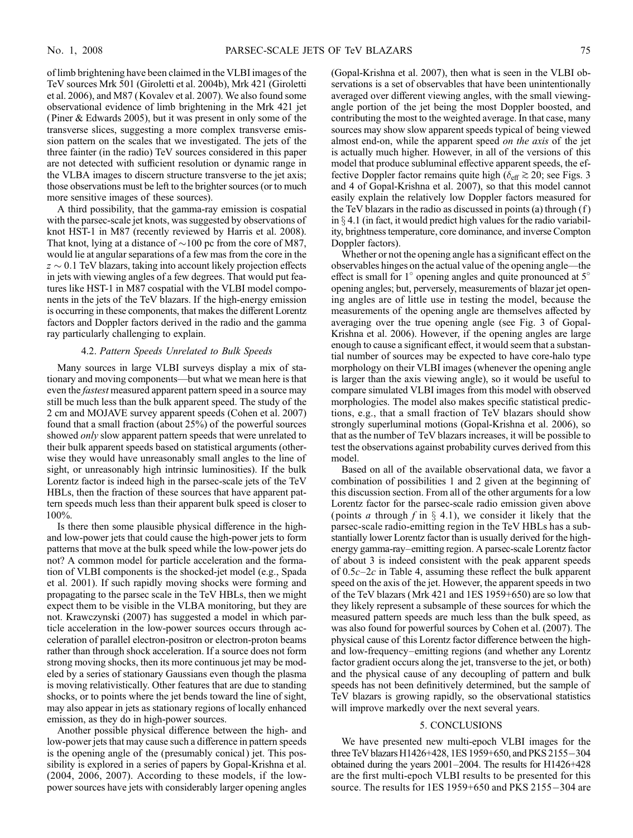of limb brightening have been claimed in the VLBI images of the TeV sources Mrk 501 (Giroletti et al. 2004b), Mrk 421 (Giroletti et al. 2006), and M87 (Kovalev et al. 2007). We also found some observational evidence of limb brightening in the Mrk 421 jet (Piner & Edwards 2005), but it was present in only some of the transverse slices, suggesting a more complex transverse emission pattern on the scales that we investigated. The jets of the three fainter (in the radio) TeV sources considered in this paper are not detected with sufficient resolution or dynamic range in the VLBA images to discern structure transverse to the jet axis; those observations must be left to the brighter sources (or to much more sensitive images of these sources).

A third possibility, that the gamma-ray emission is cospatial with the parsec-scale jet knots, was suggested by observations of knot HST-1 in M87 (recently reviewed by Harris et al. 2008). That knot, lying at a distance of  $\sim$ 100 pc from the core of M87, would lie at angular separations of a few mas from the core in the  $z \sim 0.1$  TeV blazars, taking into account likely projection effects in jets with viewing angles of a few degrees. That would put features like HST-1 in M87 cospatial with the VLBI model components in the jets of the TeV blazars. If the high-energy emission is occurring in these components, that makes the different Lorentz factors and Doppler factors derived in the radio and the gamma ray particularly challenging to explain.

#### 4.2. Pattern Speeds Unrelated to Bulk Speeds

Many sources in large VLBI surveys display a mix of stationary and moving components—but what we mean here is that even the fastest measured apparent pattern speed in a source may still be much less than the bulk apparent speed. The study of the 2 cm and MOJAVE survey apparent speeds (Cohen et al. 2007) found that a small fraction (about 25%) of the powerful sources showed *only* slow apparent pattern speeds that were unrelated to their bulk apparent speeds based on statistical arguments (otherwise they would have unreasonably small angles to the line of sight, or unreasonably high intrinsic luminosities). If the bulk Lorentz factor is indeed high in the parsec-scale jets of the TeV HBLs, then the fraction of these sources that have apparent pattern speeds much less than their apparent bulk speed is closer to 100%.

Is there then some plausible physical difference in the highand low-power jets that could cause the high-power jets to form patterns that move at the bulk speed while the low-power jets do not? A common model for particle acceleration and the formation of VLBI components is the shocked-jet model (e.g., Spada et al. 2001). If such rapidly moving shocks were forming and propagating to the parsec scale in the TeV HBLs, then we might expect them to be visible in the VLBA monitoring, but they are not. Krawczynski (2007) has suggested a model in which particle acceleration in the low-power sources occurs through acceleration of parallel electron-positron or electron-proton beams rather than through shock acceleration. If a source does not form strong moving shocks, then its more continuous jet may be modeled by a series of stationary Gaussians even though the plasma is moving relativistically. Other features that are due to standing shocks, or to points where the jet bends toward the line of sight, may also appear in jets as stationary regions of locally enhanced emission, as they do in high-power sources.

Another possible physical difference between the high- and low-power jets that may cause such a difference in pattern speeds is the opening angle of the (presumably conical) jet. This possibility is explored in a series of papers by Gopal-Krishna et al. (2004, 2006, 2007). According to these models, if the lowpower sources have jets with considerably larger opening angles (Gopal-Krishna et al. 2007), then what is seen in the VLBI observations is a set of observables that have been unintentionally averaged over different viewing angles, with the small viewingangle portion of the jet being the most Doppler boosted, and contributing the most to the weighted average. In that case, many sources may show slow apparent speeds typical of being viewed almost end-on, while the apparent speed *on the axis* of the jet is actually much higher. However, in all of the versions of this model that produce subluminal effective apparent speeds, the effective Doppler factor remains quite high ( $\delta_{\text{eff}} \gtrsim 20$ ; see Figs. 3 and 4 of Gopal-Krishna et al. 2007), so that this model cannot easily explain the relatively low Doppler factors measured for the TeV blazars in the radio as discussed in points (a) through (f ) in  $\S 4.1$  (in fact, it would predict high values for the radio variability, brightness temperature, core dominance, and inverse Compton Doppler factors).

Whether or not the opening angle has a significant effect on the observables hinges on the actual value of the opening angle—the effect is small for  $1^{\circ}$  opening angles and quite pronounced at  $5^{\circ}$ opening angles; but, perversely, measurements of blazar jet opening angles are of little use in testing the model, because the measurements of the opening angle are themselves affected by averaging over the true opening angle (see Fig. 3 of Gopal-Krishna et al. 2006). However, if the opening angles are large enough to cause a significant effect, it would seem that a substantial number of sources may be expected to have core-halo type morphology on their VLBI images (whenever the opening angle is larger than the axis viewing angle), so it would be useful to compare simulated VLBI images from this model with observed morphologies. The model also makes specific statistical predictions, e.g., that a small fraction of TeV blazars should show strongly superluminal motions (Gopal-Krishna et al. 2006), so that as the number of TeV blazars increases, it will be possible to test the observations against probability curves derived from this model.

Based on all of the available observational data, we favor a combination of possibilities 1 and 2 given at the beginning of this discussion section. From all of the other arguments for a low Lorentz factor for the parsec-scale radio emission given above (points *a* through f in  $\S$  4.1), we consider it likely that the parsec-scale radio-emitting region in the TeV HBLs has a substantially lower Lorentz factor than is usually derived for the highenergy gamma-ray–emitting region. A parsec-scale Lorentz factor of about 3 is indeed consistent with the peak apparent speeds of  $0.5c-2c$  in Table 4, assuming these reflect the bulk apparent speed on the axis of the jet. However, the apparent speeds in two of the TeV blazars (Mrk 421 and 1ES 1959+650) are so low that they likely represent a subsample of these sources for which the measured pattern speeds are much less than the bulk speed, as was also found for powerful sources by Cohen et al. (2007). The physical cause of this Lorentz factor difference between the highand low-frequency–emitting regions (and whether any Lorentz factor gradient occurs along the jet, transverse to the jet, or both) and the physical cause of any decoupling of pattern and bulk speeds has not been definitively determined, but the sample of TeV blazars is growing rapidly, so the observational statistics will improve markedly over the next several years.

#### 5. CONCLUSIONS

We have presented new multi-epoch VLBI images for the three TeV blazars H1426+428, 1ES 1959+650, and PKS 2155 $-$ 304 obtained during the years 2001–2004. The results for H1426+428 are the first multi-epoch VLBI results to be presented for this source. The results for  $1ES 1959+650$  and  $PKS 2155-304$  are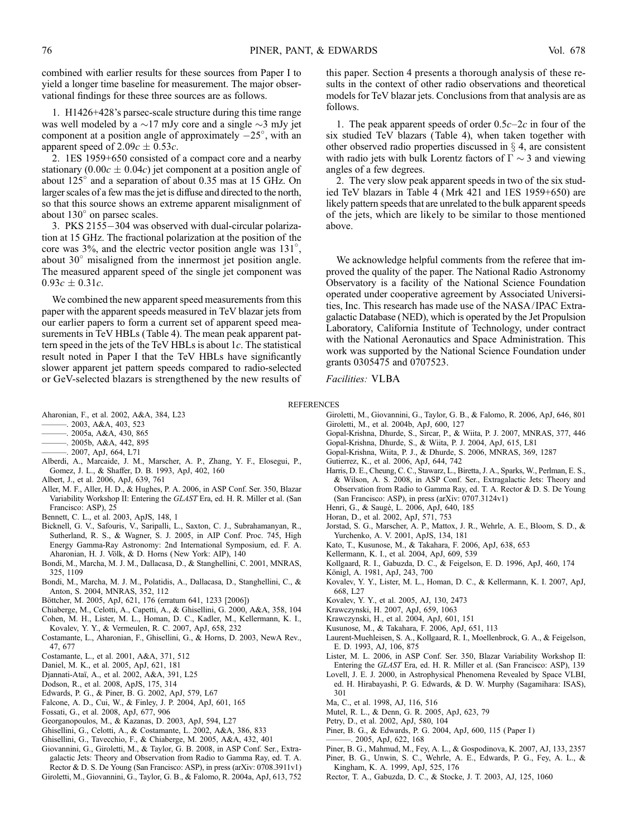combined with earlier results for these sources from Paper I to yield a longer time baseline for measurement. The major observational findings for these three sources are as follows.

1. H1426+428's parsec-scale structure during this time range was well modeled by a  $\sim$ 17 mJy core and a single  $\sim$ 3 mJy jet component at a position angle of approximately  $-25^{\circ}$ , with an apparent speed of  $2.09c \pm 0.53c$ .

2. 1ES 1959+650 consisted of a compact core and a nearby stationary  $(0.00c \pm 0.04c)$  jet component at a position angle of about  $125^\circ$  and a separation of about 0.35 mas at 15 GHz. On larger scales of a few mas the jet is diffuse and directed to the north, so that this source shows an extreme apparent misalignment of about  $130^\circ$  on parsec scales.

3. PKS 2155-304 was observed with dual-circular polarization at 15 GHz. The fractional polarization at the position of the core was 3%, and the electric vector position angle was 131°, about  $30^{\circ}$  misaligned from the innermost jet position angle. The measured apparent speed of the single jet component was  $0.93c \pm 0.31c$ .

We combined the new apparent speed measurements from this paper with the apparent speeds measured in TeV blazar jets from our earlier papers to form a current set of apparent speed measurements in TeV HBLs (Table 4). The mean peak apparent pattern speed in the jets of the TeV HBLs is about  $1c$ . The statistical result noted in Paper I that the TeV HBLs have significantly slower apparent jet pattern speeds compared to radio-selected or GeV-selected blazars is strengthened by the new results of

- Aharonian, F., et al. 2002, A&A, 384, L23
- $-$ . 2003, A&A, 403, 523
- $-$ . 2005a, A&A, 430, 865
- ———. 2005b, A&A, 442, 895
- ———. 2007, ApJ, 664, L71
- Alberdi, A., Marcaide, J. M., Marscher, A. P., Zhang, Y. F., Elosegui, P., Gomez, J. L., & Shaffer, D. B. 1993, ApJ, 402, 160
- Albert, J., et al. 2006, ApJ, 639, 761
- Aller, M. F., Aller, H. D., & Hughes, P. A. 2006, in ASP Conf. Ser. 350, Blazar Variability Workshop II: Entering the GLAST Era, ed. H. R. Miller et al. (San Francisco: ASP), 25
- Bennett, C. L., et al. 2003, ApJS, 148, 1
- Bicknell, G. V., Safouris, V., Saripalli, L., Saxton, C. J., Subrahamanyan, R., Sutherland, R. S., & Wagner, S. J. 2005, in AIP Conf. Proc. 745, High Energy Gamma-Ray Astronomy: 2nd International Symposium, ed. F. A. Aharonian, H. J. Völk, & D. Horns (New York: AIP), 140
- Bondi, M., Marcha, M. J. M., Dallacasa, D., & Stanghellini, C. 2001, MNRAS, 325, 1109
- Bondi, M., Marcha, M. J. M., Polatidis, A., Dallacasa, D., Stanghellini, C., & Anton, S. 2004, MNRAS, 352, 112
- Böttcher, M. 2005, ApJ, 621, 176 (erratum 641, 1233 [2006])
- Chiaberge, M., Celotti, A., Capetti, A., & Ghisellini, G. 2000, A&A, 358, 104
- Cohen, M. H., Lister, M. L., Homan, D. C., Kadler, M., Kellermann, K. I., Kovalev, Y. Y., & Vermeulen, R. C. 2007, ApJ, 658, 232
- Costamante, L., Aharonian, F., Ghisellini, G., & Horns, D. 2003, NewA Rev., 47, 677
- Costamante, L., et al. 2001, A&A, 371, 512
- Daniel, M. K., et al. 2005, ApJ, 621, 181
- Djannati-Ataï, A., et al. 2002, A&A, 391, L25
- Dodson, R., et al. 2008, ApJS, 175, 314
- Edwards, P. G., & Piner, B. G. 2002, ApJ, 579, L67
- Falcone, A. D., Cui, W., & Finley, J. P. 2004, ApJ, 601, 165
- Fossati, G., et al. 2008, ApJ, 677, 906
- Georganopoulos, M., & Kazanas, D. 2003, ApJ, 594, L27
- Ghisellini, G., Celotti, A., & Costamante, L. 2002, A&A, 386, 833
- Ghisellini, G., Tavecchio, F., & Chiaberge, M. 2005, A&A, 432, 401
- Giovannini, G., Giroletti, M., & Taylor, G. B. 2008, in ASP Conf. Ser., Extragalactic Jets: Theory and Observation from Radio to Gamma Ray, ed. T. A.
- Rector & D. S. De Young (San Francisco: ASP), in press (arXiv: 0708.3911v1) Giroletti, M., Giovannini, G., Taylor, G. B., & Falomo, R. 2004a, ApJ, 613, 752

this paper. Section 4 presents a thorough analysis of these results in the context of other radio observations and theoretical models for TeV blazar jets. Conclusions from that analysis are as follows.

1. The peak apparent speeds of order  $0.5c-2c$  in four of the six studied TeV blazars (Table 4), when taken together with other observed radio properties discussed in  $\S$  4, are consistent with radio jets with bulk Lorentz factors of  $\Gamma \sim 3$  and viewing angles of a few degrees.

2. The very slow peak apparent speeds in two of the six studied TeV blazars in Table 4 (Mrk 421 and 1ES 1959+650) are likely pattern speeds that are unrelated to the bulk apparent speeds of the jets, which are likely to be similar to those mentioned above.

We acknowledge helpful comments from the referee that improved the quality of the paper. The National Radio Astronomy Observatory is a facility of the National Science Foundation operated under cooperative agreement by Associated Universities, Inc. This research has made use of the NASA/ IPAC Extragalactic Database (NED), which is operated by the Jet Propulsion Laboratory, California Institute of Technology, under contract with the National Aeronautics and Space Administration. This work was supported by the National Science Foundation under grants 0305475 and 0707523.

Facilities: VLBA

#### REFERENCES

- Giroletti, M., Giovannini, G., Taylor, G. B., & Falomo, R. 2006, ApJ, 646, 801 Giroletti, M., et al. 2004b, ApJ, 600, 127
- Gopal-Krishna, Dhurde, S., Sircar, P., & Wiita, P. J. 2007, MNRAS, 377, 446
- Gopal-Krishna, Dhurde, S., & Wiita, P. J. 2004, ApJ, 615, L81
- Gopal-Krishna, Wiita, P. J., & Dhurde, S. 2006, MNRAS, 369, 1287
- Gutierrez, K., et al. 2006, ApJ, 644, 742
- Harris, D. E., Cheung, C. C., Stawarz, L., Biretta, J. A., Sparks, W., Perlman, E. S., & Wilson, A. S. 2008, in ASP Conf. Ser., Extragalactic Jets: Theory and Observation from Radio to Gamma Ray, ed. T. A. Rector & D. S. De Young (San Francisco: ASP), in press (arXiv: 0707.3124v1)
- Henri, G., & Saugé, L. 2006, ApJ, 640, 185
- Horan, D., et al. 2002, ApJ, 571, 753
- Jorstad, S. G., Marscher, A. P., Mattox, J. R., Wehrle, A. E., Bloom, S. D., & Yurchenko, A. V. 2001, ApJS, 134, 181
- Kato, T., Kusunose, M., & Takahara, F. 2006, ApJ, 638, 653
- Kellermann, K. I., et al. 2004, ApJ, 609, 539
- Kollgaard, R. I., Gabuzda, D. C., & Feigelson, E. D. 1996, ApJ, 460, 174
- Königl, A. 1981, ApJ, 243, 700
- Kovalev, Y. Y., Lister, M. L., Homan, D. C., & Kellermann, K. I. 2007, ApJ, 668, L27
- Kovalev, Y. Y., et al. 2005, AJ, 130, 2473
- Krawczynski, H. 2007, ApJ, 659, 1063
- Krawczynski, H., et al. 2004, ApJ, 601, 151
- Kusunose, M., & Takahara, F. 2006, ApJ, 651, 113
- Laurent-Muehleisen, S. A., Kollgaard, R. I., Moellenbrock, G. A., & Feigelson, E. D. 1993, AJ, 106, 875
- Lister, M. L. 2006, in ASP Conf. Ser. 350, Blazar Variability Workshop II: Entering the GLAST Era, ed. H. R. Miller et al. (San Francisco: ASP), 139
- Lovell, J. E. J. 2000, in Astrophysical Phenomena Revealed by Space VLBI, ed. H. Hirabayashi, P. G. Edwards, & D. W. Murphy (Sagamihara: ISAS), 301
- Ma, C., et al. 1998, AJ, 116, 516
- Mutel, R. L., & Denn, G. R. 2005, ApJ, 623, 79
- Petry, D., et al. 2002, ApJ, 580, 104
- Piner, B. G., & Edwards, P. G. 2004, ApJ, 600, 115 (Paper I)
- ———. 2005, ApJ, 622, 168
- Piner, B. G., Mahmud, M., Fey, A. L., & Gospodinova, K. 2007, AJ, 133, 2357 Piner, B. G., Unwin, S. C., Wehrle, A. E., Edwards, P. G., Fey, A. L., &
- Kingham, K. A. 1999, ApJ, 525, 176
- Rector, T. A., Gabuzda, D. C., & Stocke, J. T. 2003, AJ, 125, 1060